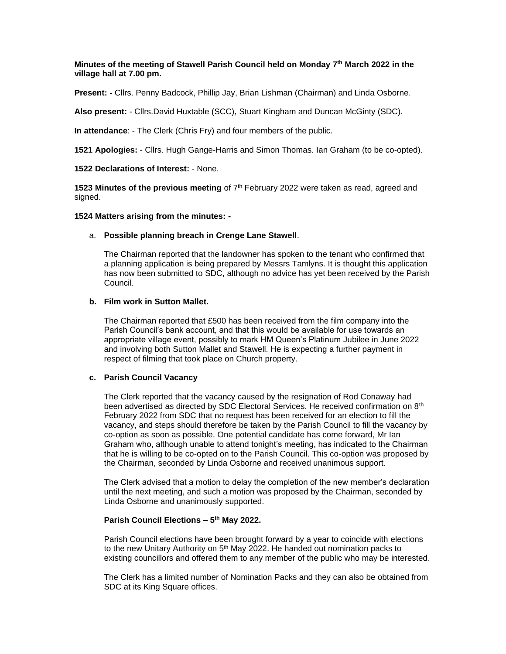**Minutes of the meeting of Stawell Parish Council held on Monday 7 th March 2022 in the village hall at 7.00 pm.**

**Present: -** Cllrs. Penny Badcock, Phillip Jay, Brian Lishman (Chairman) and Linda Osborne.

**Also present:** - Cllrs.David Huxtable (SCC), Stuart Kingham and Duncan McGinty (SDC).

**In attendance**: - The Clerk (Chris Fry) and four members of the public.

**1521 Apologies:** - Cllrs. Hugh Gange-Harris and Simon Thomas. Ian Graham (to be co-opted).

**1522 Declarations of Interest:** - None.

1523 Minutes of the previous meeting of 7<sup>th</sup> February 2022 were taken as read, agreed and signed.

**1524 Matters arising from the minutes: -**

#### a. **Possible planning breach in Crenge Lane Stawell**.

The Chairman reported that the landowner has spoken to the tenant who confirmed that a planning application is being prepared by Messrs Tamlyns. It is thought this application has now been submitted to SDC, although no advice has yet been received by the Parish Council.

#### **b. Film work in Sutton Mallet.**

The Chairman reported that £500 has been received from the film company into the Parish Council's bank account, and that this would be available for use towards an appropriate village event, possibly to mark HM Queen's Platinum Jubilee in June 2022 and involving both Sutton Mallet and Stawell. He is expecting a further payment in respect of filming that took place on Church property.

#### **c. Parish Council Vacancy**

The Clerk reported that the vacancy caused by the resignation of Rod Conaway had been advertised as directed by SDC Electoral Services. He received confirmation on 8<sup>th</sup> February 2022 from SDC that no request has been received for an election to fill the vacancy, and steps should therefore be taken by the Parish Council to fill the vacancy by co-option as soon as possible. One potential candidate has come forward, Mr Ian Graham who, although unable to attend tonight's meeting, has indicated to the Chairman that he is willing to be co-opted on to the Parish Council. This co-option was proposed by the Chairman, seconded by Linda Osborne and received unanimous support.

The Clerk advised that a motion to delay the completion of the new member's declaration until the next meeting, and such a motion was proposed by the Chairman, seconded by Linda Osborne and unanimously supported.

#### **Parish Council Elections – 5 th May 2022.**

Parish Council elections have been brought forward by a year to coincide with elections to the new Unitary Authority on  $5<sup>th</sup>$  May 2022. He handed out nomination packs to existing councillors and offered them to any member of the public who may be interested.

The Clerk has a limited number of Nomination Packs and they can also be obtained from SDC at its King Square offices.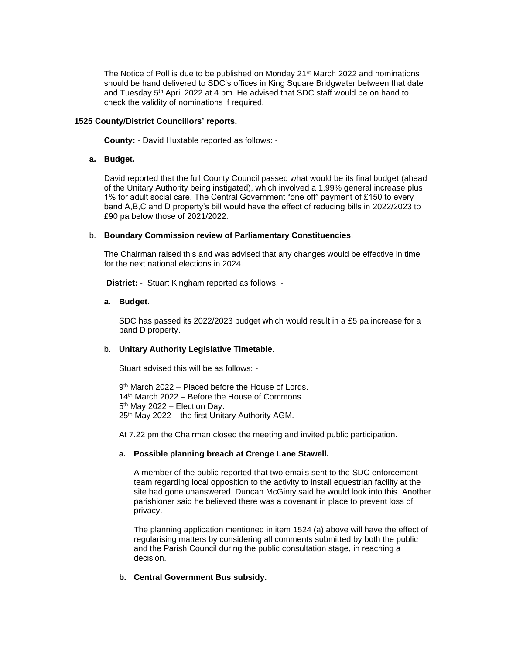The Notice of Poll is due to be published on Monday 21st March 2022 and nominations should be hand delivered to SDC's offices in King Square Bridgwater between that date and Tuesday  $5<sup>th</sup>$  April 2022 at 4 pm. He advised that SDC staff would be on hand to check the validity of nominations if required.

## **1525 County/District Councillors' reports.**

 **County:** - David Huxtable reported as follows: -

## **a. Budget.**

David reported that the full County Council passed what would be its final budget (ahead of the Unitary Authority being instigated), which involved a 1.99% general increase plus 1% for adult social care. The Central Government "one off" payment of £150 to every band A,B,C and D property's bill would have the effect of reducing bills in 2022/2023 to £90 pa below those of 2021/2022.

#### b. **Boundary Commission review of Parliamentary Constituencies**.

The Chairman raised this and was advised that any changes would be effective in time for the next national elections in 2024.

**District:** - Stuart Kingham reported as follows: -

## **a. Budget.**

SDC has passed its 2022/2023 budget which would result in a £5 pa increase for a band D property.

# b. **Unitary Authority Legislative Timetable**.

Stuart advised this will be as follows: -

9 th March 2022 – Placed before the House of Lords. 14<sup>th</sup> March 2022 – Before the House of Commons. 5 th May 2022 – Election Day.  $25<sup>th</sup>$  May 2022 – the first Unitary Authority AGM.

At 7.22 pm the Chairman closed the meeting and invited public participation.

#### **a. Possible planning breach at Crenge Lane Stawell.**

A member of the public reported that two emails sent to the SDC enforcement team regarding local opposition to the activity to install equestrian facility at the site had gone unanswered. Duncan McGinty said he would look into this. Another parishioner said he believed there was a covenant in place to prevent loss of privacy.

The planning application mentioned in item 1524 (a) above will have the effect of regularising matters by considering all comments submitted by both the public and the Parish Council during the public consultation stage, in reaching a decision.

## **b. Central Government Bus subsidy.**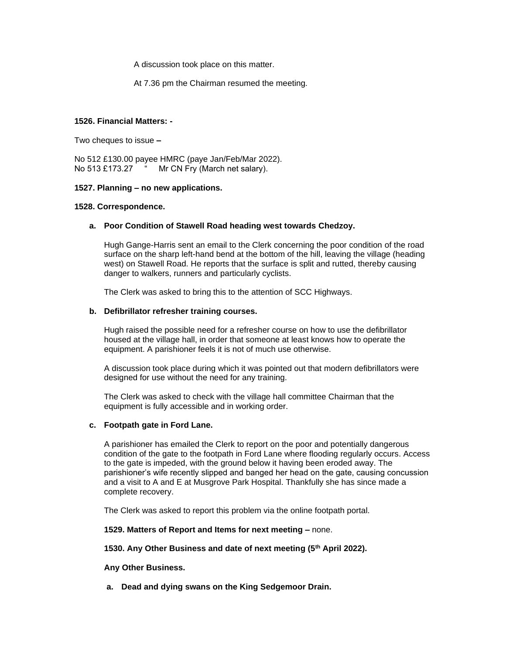A discussion took place on this matter.

At 7.36 pm the Chairman resumed the meeting.

#### **1526. Financial Matters: -**

Two cheques to issue **–**

No 512 £130.00 payee HMRC (paye Jan/Feb/Mar 2022). No 513 £173.27 <sup>"</sup> Mr CN Fry (March net salary).

## **1527. Planning – no new applications.**

#### **1528. Correspondence.**

# **a. Poor Condition of Stawell Road heading west towards Chedzoy.**

Hugh Gange-Harris sent an email to the Clerk concerning the poor condition of the road surface on the sharp left-hand bend at the bottom of the hill, leaving the village (heading west) on Stawell Road. He reports that the surface is split and rutted, thereby causing danger to walkers, runners and particularly cyclists.

The Clerk was asked to bring this to the attention of SCC Highways.

#### **b. Defibrillator refresher training courses.**

Hugh raised the possible need for a refresher course on how to use the defibrillator housed at the village hall, in order that someone at least knows how to operate the equipment. A parishioner feels it is not of much use otherwise.

A discussion took place during which it was pointed out that modern defibrillators were designed for use without the need for any training.

The Clerk was asked to check with the village hall committee Chairman that the equipment is fully accessible and in working order.

#### **c. Footpath gate in Ford Lane.**

A parishioner has emailed the Clerk to report on the poor and potentially dangerous condition of the gate to the footpath in Ford Lane where flooding regularly occurs. Access to the gate is impeded, with the ground below it having been eroded away. The parishioner's wife recently slipped and banged her head on the gate, causing concussion and a visit to A and E at Musgrove Park Hospital. Thankfully she has since made a complete recovery.

The Clerk was asked to report this problem via the online footpath portal.

**1529. Matters of Report and Items for next meeting –** none.

# **1530. Any Other Business and date of next meeting (5th April 2022).**

#### **Any Other Business.**

**a. Dead and dying swans on the King Sedgemoor Drain.**